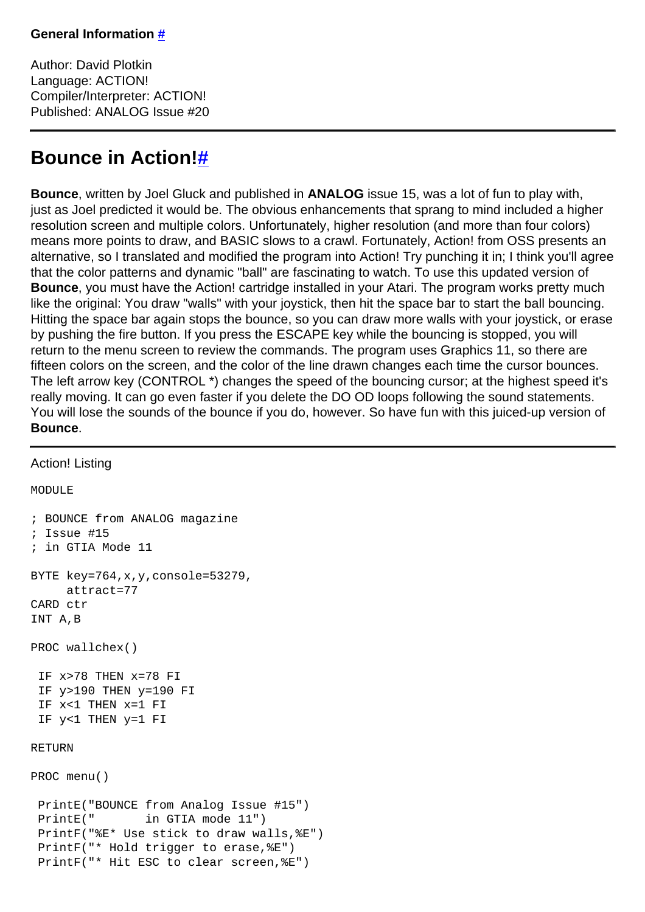Author: David Plotkin Language: ACTION! Compiler/Interpreter: ACTION! Published: ANALOG Issue #20

## **Bounce in Action[!#](http://[fd00::119]:8080/wiki/#section-Bounce+in+ACTION-BounceInAction)**

**Bounce**, written by Joel Gluck and published in **ANALOG** issue 15, was a lot of fun to play with, just as Joel predicted it would be. The obvious enhancements that sprang to mind included a higher resolution screen and multiple colors. Unfortunately, higher resolution (and more than four colors) means more points to draw, and BASIC slows to a crawl. Fortunately, Action! from OSS presents an alternative, so I translated and modified the program into Action! Try punching it in; I think you'll agree that the color patterns and dynamic "ball" are fascinating to watch. To use this updated version of **Bounce**, you must have the Action! cartridge installed in your Atari. The program works pretty much like the original: You draw "walls" with your joystick, then hit the space bar to start the ball bouncing. Hitting the space bar again stops the bounce, so you can draw more walls with your joystick, or erase by pushing the fire button. If you press the ESCAPE key while the bouncing is stopped, you will return to the menu screen to review the commands. The program uses Graphics 11, so there are fifteen colors on the screen, and the color of the line drawn changes each time the cursor bounces. The left arrow key (CONTROL \*) changes the speed of the bouncing cursor; at the highest speed it's really moving. It can go even faster if you delete the DO OD loops following the sound statements. You will lose the sounds of the bounce if you do, however. So have fun with this juiced-up version of **Bounce**.

## Action! Listing

MODUL<sub>E</sub>

```
; BOUNCE from ANALOG magazine
; Issue #15
; in GTIA Mode 11
BYTE key=764,x,y,console=53279,
     attract=77
CARD ctr
INT A,B
PROC wallchex()
 IF x>78 THEN x=78 FI
 IF y>190 THEN y=190 FI
 IF x<1 THEN x=1 FI
 IF y<1 THEN y=1 FI
RETURN
PROC menu()
 PrintE("BOUNCE from Analog Issue #15")
PrintE(" in GTIA mode 11")
 PrintF("%E* Use stick to draw walls,%E")
 PrintF("* Hold trigger to erase,%E")
 PrintF("* Hit ESC to clear screen,%E")
```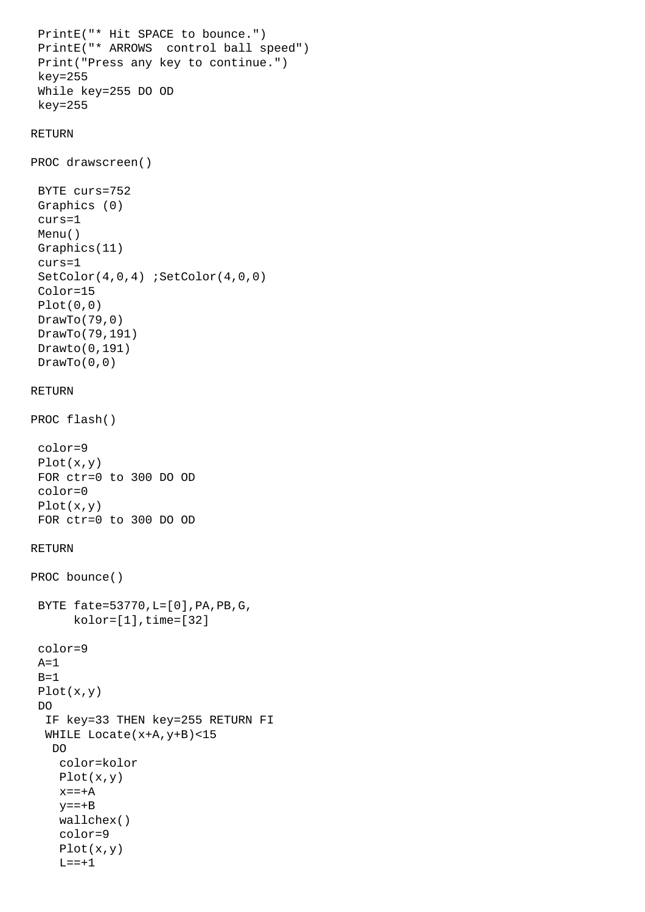```
 PrintE("* Hit SPACE to bounce.")
  PrintE("* ARROWS control ball speed")
  Print("Press any key to continue.")
 key=255
 While key=255 DO OD
 key=255
RETURN
PROC drawscreen()
 BYTE curs=752
 Graphics (0)
  curs=1
 Menu()
  Graphics(11)
  curs=1
 SetColor(4,0,4) ;SetColor(4,0,0)
  Color=15
 Plot(0,0)
 DrawTo(79,0)
 DrawTo(79,191)
 Drawto(0,191)
DrawTo(0,0)RETURN
PROC flash()
 color=9
 Plot(x,y)
  FOR ctr=0 to 300 DO OD
  color=0
 Plot(x,y)
 FOR ctr=0 to 300 DO OD
RETURN
PROC bounce()
 BYTE fate=53770,L=[0],PA,PB,G,
      kolor=[1], time=[32] color=9
 A=1B=1 Plot(x,y)
 DO
   IF key=33 THEN key=255 RETURN FI
   WHILE Locate(x+A,y+B)<15 
    DO
     color=kolor
     Plot(x,y)
    x=-+Ay=-+B wallchex()
     color=9
     Plot(x,y)
    L == + 1
```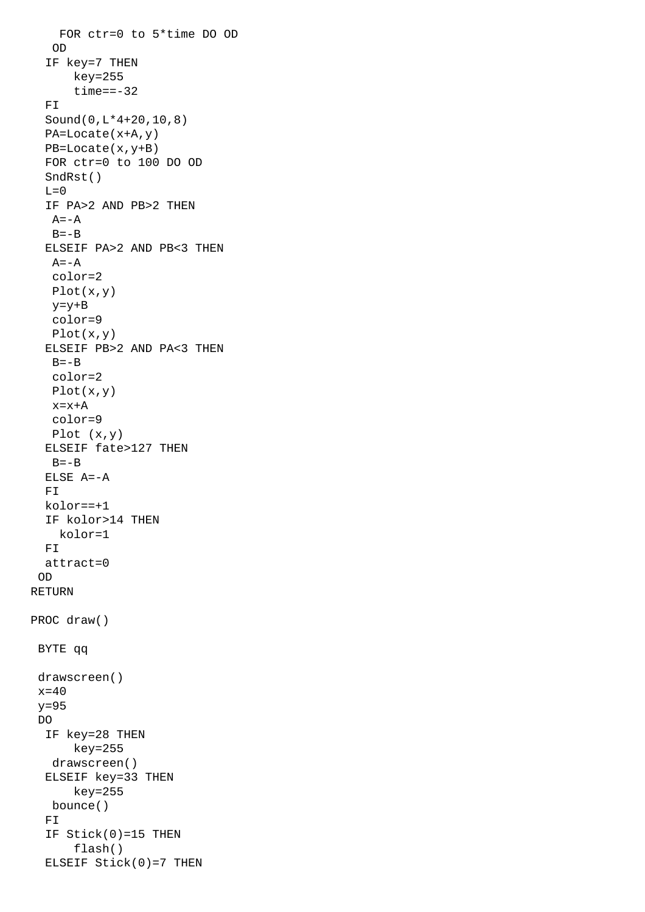```
 FOR ctr=0 to 5*time DO OD
    OD
   IF key=7 THEN
       key=255
      time == -32FT
   Sound(0,L*4+20,10,8)
   PA=Locate(x+A,y)
   PB=Locate(x,y+B)
   FOR ctr=0 to 100 DO OD
   SndRst()
  L=0 IF PA>2 AND PB>2 THEN
   A = -AB=-B ELSEIF PA>2 AND PB<3 THEN
   A = -A color=2
    Plot(x,y)
    y=y+B
    color=9
    Plot(x,y)
   ELSEIF PB>2 AND PA<3 THEN
   B=-B color=2
    Plot(x,y)
    x=x+A
    color=9
   Plot (x,y)
   ELSEIF fate>127 THEN
   B = -B ELSE A=-A
   FI
   kolor==+1
   IF kolor>14 THEN
     kolor=1
   FI
   attract=0
  OD
RETURN
PROC draw()
  BYTE qq
  drawscreen()
 x=40y=95 DO
   IF key=28 THEN
       key=255
    drawscreen()
   ELSEIF key=33 THEN
       key=255
   bounce()
   FI
   IF Stick(0)=15 THEN
       flash()
   ELSEIF Stick(0)=7 THEN
```